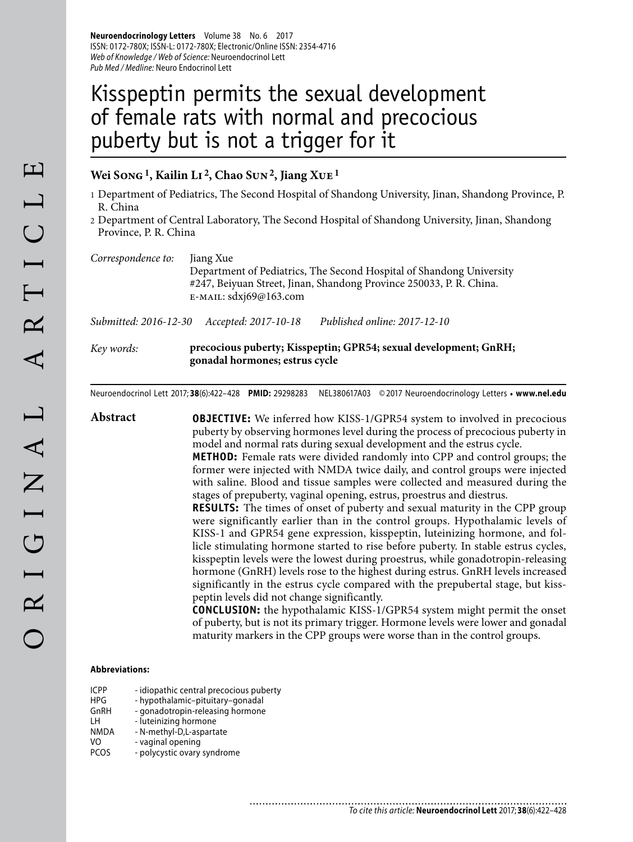**Neuroendocrinology Letters** Volume 38 No. 6 2017 ISSN: 0172-780X; ISSN-L: 0172-780X; Electronic/Online ISSN: 2354-4716 Web of Knowledge / Web of Science: Neuroendocrinol Lett Pub Med / Medline: Neuro Endocrinol Lett

# Kisspeptin permits the sexual development of female rats with normal and precocious puberty but is not a trigger for it

## **Wei Song 1, Kailin Li 2, Chao Sun 2, Jiang Xue 1**

- 1 Department of Pediatrics, The Second Hospital of Shandong University, Jinan, Shandong Province, P. R. China
- 2 Department of Central Laboratory, The Second Hospital of Shandong University, Jinan, Shandong Province, P. R. China

| Correspondence to: | Jiang Xue                                                            |
|--------------------|----------------------------------------------------------------------|
|                    | Department of Pediatrics, The Second Hospital of Shandong University |
|                    | #247, Beiyuan Street, Jinan, Shandong Province 250033, P. R. China.  |
|                    | $E$ -MAIL: sdxj69@163.com                                            |
|                    |                                                                      |

*Submitted: 2016-12-30 Accepted: 2017-10-18 Published online: 2017-12-10*

*Key words:* **precocious puberty; Kisspeptin; GPR54; sexual development; GnRH; gonadal hormones; estrus cycle**

Neuroendocrinol Lett 2017; **38**(6):422–428 **PMID:** 29298283 NEL380617A03 © 2017 Neuroendocrinology Letters • **www.nel.edu**

**Abstract OBJECTIVE:** We inferred how KISS-1/GPR54 system to involved in precocious puberty by observing hormones level during the process of precocious puberty in model and normal rats during sexual development and the estrus cycle. **METHOD:** Female rats were divided randomly into CPP and control groups; the former were injected with NMDA twice daily, and control groups were injected with saline. Blood and tissue samples were collected and measured during the stages of prepuberty, vaginal opening, estrus, proestrus and diestrus. **RESULTS:** The times of onset of puberty and sexual maturity in the CPP group were significantly earlier than in the control groups. Hypothalamic levels of KISS-1 and GPR54 gene expression, kisspeptin, luteinizing hormone, and follicle stimulating hormone started to rise before puberty. In stable estrus cycles, kisspeptin levels were the lowest during proestrus, while gonadotropin-releasing hormone (GnRH) levels rose to the highest during estrus. GnRH levels increased significantly in the estrus cycle compared with the prepubertal stage, but kisspeptin levels did not change significantly. **CONCLUSION:** the hypothalamic KISS-1/GPR54 system might permit the onset of puberty, but is not its primary trigger. Hormone levels were lower and gonadal maturity markers in the CPP groups were worse than in the control groups.

#### **Abbreviations:**

| <b>ICPP</b> | - idiopathic central precocious puberty |
|-------------|-----------------------------------------|
| <b>HPG</b>  | - hypothalamic-pituitary-gonadal        |
| GnRH        | - gonadotropin-releasing hormone        |
| ۱н          | - luteinizing hormone                   |
| <b>NMDA</b> | - N-methyl-D,L-aspartate                |
| VO          | - vaginal opening                       |
| <b>PCOS</b> | - polycystic ovary syndrome             |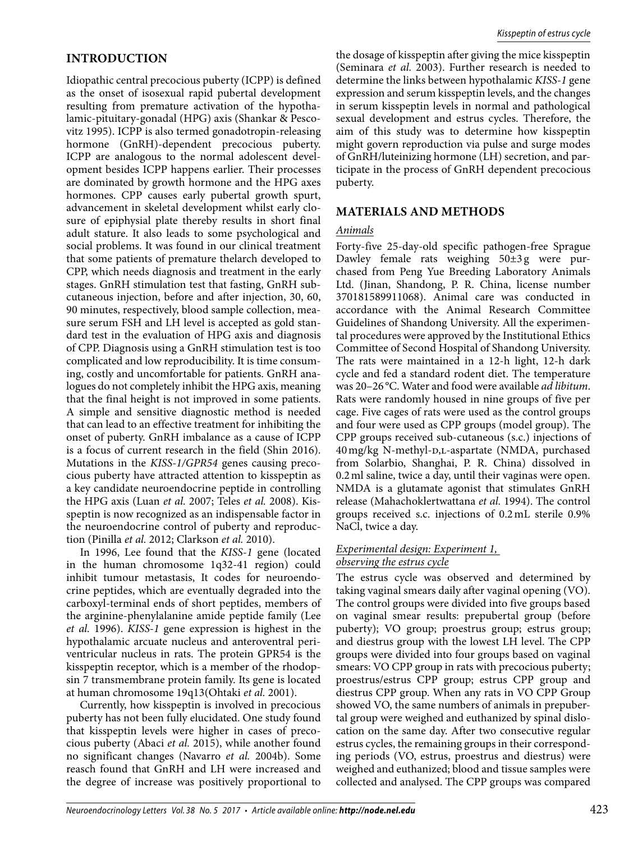## **INTRODUCTION**

Idiopathic central precocious puberty (ICPP) is defined as the onset of isosexual rapid pubertal development resulting from premature activation of the hypothalamic-pituitary-gonadal (HPG) axis (Shankar & Pescovitz 1995). ICPP is also termed gonadotropin-releasing hormone (GnRH)-dependent precocious puberty. ICPP are analogous to the normal adolescent development besides ICPP happens earlier. Their processes are dominated by growth hormone and the HPG axes hormones. CPP causes early pubertal growth spurt, advancement in skeletal development whilst early closure of epiphysial plate thereby results in short final adult stature. It also leads to some psychological and social problems. It was found in our clinical treatment that some patients of premature thelarch developed to CPP, which needs diagnosis and treatment in the early stages. GnRH stimulation test that fasting, GnRH subcutaneous injection, before and after injection, 30, 60, 90 minutes, respectively, blood sample collection, measure serum FSH and LH level is accepted as gold standard test in the evaluation of HPG axis and diagnosis of CPP. Diagnosis using a GnRH stimulation test is too complicated and low reproducibility. It is time consuming, costly and uncomfortable for patients. GnRH analogues do not completely inhibit the HPG axis, meaning that the final height is not improved in some patients. A simple and sensitive diagnostic method is needed that can lead to an effective treatment for inhibiting the onset of puberty. GnRH imbalance as a cause of ICPP is a focus of current research in the field (Shin 2016). Mutations in the *KISS-1/GPR54* genes causing precocious puberty have attracted attention to kisspeptin as a key candidate neuroendocrine peptide in controlling the HPG axis (Luan *et al.* 2007; Teles *et al.* 2008). Kisspeptin is now recognized as an indispensable factor in the neuroendocrine control of puberty and reproduction (Pinilla *et al.* 2012; Clarkson *et al.* 2010).

In 1996, Lee found that the *KISS-1* gene (located in the human chromosome 1q32-41 region) could inhibit tumour metastasis, It codes for neuroendocrine peptides, which are eventually degraded into the carboxyl-terminal ends of short peptides, members of the arginine-phenylalanine amide peptide family (Lee *et al.* 1996). *KISS-1* gene expression is highest in the hypothalamic arcuate nucleus and anteroventral periventricular nucleus in rats. The protein GPR54 is the kisspeptin receptor, which is a member of the rhodopsin 7 transmembrane protein family. Its gene is located at human chromosome 19q13(Ohtaki *et al.* 2001).

Currently, how kisspeptin is involved in precocious puberty has not been fully elucidated. One study found that kisspeptin levels were higher in cases of precocious puberty (Abaci *et al.* 2015), while another found no significant changes (Navarro *et al.* 2004b). Some reasch found that GnRH and LH were increased and the degree of increase was positively proportional to

the dosage of kisspeptin after giving the mice kisspeptin (Seminara *et al.* 2003). Further research is needed to determine the links between hypothalamic *KISS-1* gene expression and serum kisspeptin levels, and the changes in serum kisspeptin levels in normal and pathological sexual development and estrus cycles. Therefore, the aim of this study was to determine how kisspeptin might govern reproduction via pulse and surge modes of GnRH/luteinizing hormone (LH) secretion, and participate in the process of GnRH dependent precocious puberty.

## **MATERIALS AND METHODS**

#### *Animals*

Forty-five 25-day-old specific pathogen-free Sprague Dawley female rats weighing 50±3g were purchased from Peng Yue Breeding Laboratory Animals Ltd. (Jinan, Shandong, P. R. China, license number 370181589911068). Animal care was conducted in accordance with the Animal Research Committee Guidelines of Shandong University. All the experimental procedures were approved by the Institutional Ethics Committee of Second Hospital of Shandong University. The rats were maintained in a 12-h light, 12-h dark cycle and fed a standard rodent diet. The temperature was 20–26 °C. Water and food were available *ad libitum*. Rats were randomly housed in nine groups of five per cage. Five cages of rats were used as the control groups and four were used as CPP groups (model group). The CPP groups received sub-cutaneous (s.c.) injections of 40 mg/kg N-methyl-D,L-aspartate (NMDA, purchased from Solarbio, Shanghai, P. R. China) dissolved in 0.2 ml saline, twice a day, until their vaginas were open. NMDA is a glutamate agonist that stimulates GnRH release (Mahachoklertwattana *et al.* 1994). The control groups received s.c. injections of 0.2 mL sterile 0.9% NaCl, twice a day.

#### *Experimental design: Experiment 1, observing the estrus cycle*

The estrus cycle was observed and determined by taking vaginal smears daily after vaginal opening (VO). The control groups were divided into five groups based on vaginal smear results: prepubertal group (before puberty); VO group; proestrus group; estrus group; and diestrus group with the lowest LH level. The CPP groups were divided into four groups based on vaginal smears: VO CPP group in rats with precocious puberty; proestrus/estrus CPP group; estrus CPP group and diestrus CPP group. When any rats in VO CPP Group showed VO, the same numbers of animals in prepubertal group were weighed and euthanized by spinal dislocation on the same day. After two consecutive regular estrus cycles, the remaining groups in their corresponding periods (VO, estrus, proestrus and diestrus) were weighed and euthanized; blood and tissue samples were collected and analysed. The CPP groups was compared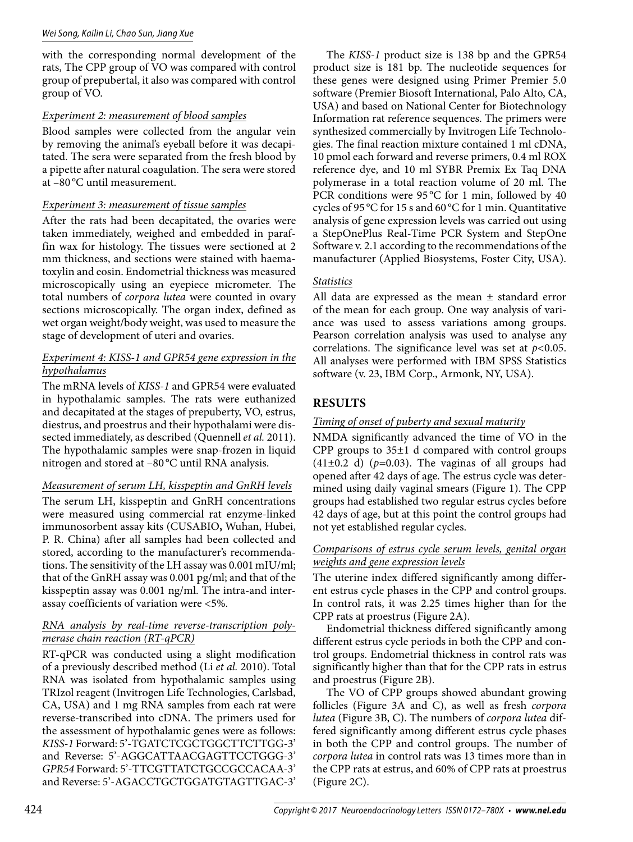#### Wei Song, Kailin Li, Chao Sun, Jiang Xue

with the corresponding normal development of the rats, The CPP group of VO was compared with control group of prepubertal, it also was compared with control group of VO.

## *Experiment 2: measurement of blood samples*

Blood samples were collected from the angular vein by removing the animal's eyeball before it was decapitated. The sera were separated from the fresh blood by a pipette after natural coagulation. The sera were stored at –80 °C until measurement.

# *Experiment 3: measurement of tissue samples*

After the rats had been decapitated, the ovaries were taken immediately, weighed and embedded in paraffin wax for histology. The tissues were sectioned at 2 mm thickness, and sections were stained with haematoxylin and eosin. Endometrial thickness was measured microscopically using an eyepiece micrometer. The total numbers of *corpora lutea* were counted in ovary sections microscopically. The organ index, defined as wet organ weight/body weight, was used to measure the stage of development of uteri and ovaries.

## *Experiment 4: KISS-1 and GPR54 gene expression in the hypothalamus*

The mRNA levels of *KISS-1* and GPR54 were evaluated in hypothalamic samples. The rats were euthanized and decapitated at the stages of prepuberty, VO, estrus, diestrus, and proestrus and their hypothalami were dissected immediately, as described (Quennell *et al.* 2011). The hypothalamic samples were snap-frozen in liquid nitrogen and stored at –80 °C until RNA analysis.

# *Measurement of serum LH, kisspeptin and GnRH levels*

The serum LH, kisspeptin and GnRH concentrations were measured using commercial rat enzyme-linked immunosorbent assay kits (CUSABIO**,** Wuhan, Hubei, P. R. China) after all samples had been collected and stored, according to the manufacturer's recommendations. The sensitivity of the LH assay was 0.001 mIU/ml; that of the GnRH assay was 0.001 pg/ml; and that of the kisspeptin assay was 0.001 ng/ml. The intra-and interassay coefficients of variation were <5%.

## *RNA analysis by real-time reverse-transcription polymerase chain reaction (RT-qPCR)*

RT-qPCR was conducted using a slight modification of a previously described method (Li *et al.* 2010). Total RNA was isolated from hypothalamic samples using TRIzol reagent (Invitrogen Life Technologies, Carlsbad, CA, USA) and 1 mg RNA samples from each rat were reverse-transcribed into cDNA. The primers used for the assessment of hypothalamic genes were as follows: *KISS-1* Forward: 5'-TGATCTCGCTGGCTTCTTGG-3' and Reverse: 5'-AGGCATTAACGAGTTCCTGGG-3' *GPR54* Forward: 5'-TTCGTTATCTGCCGCCACAA-3' and Reverse: 5'-AGACCTGCTGGATGTAGTTGAC-3'

The *KISS-1* product size is 138 bp and the GPR54 product size is 181 bp. The nucleotide sequences for these genes were designed using Primer Premier 5.0 software (Premier Biosoft International, Palo Alto, CA, USA) and based on National Center for Biotechnology Information rat reference sequences. The primers were synthesized commercially by Invitrogen Life Technologies. The final reaction mixture contained 1 ml cDNA, 10 pmol each forward and reverse primers, 0.4 ml ROX reference dye, and 10 ml SYBR Premix Ex Taq DNA polymerase in a total reaction volume of 20 ml. The PCR conditions were 95 °C for 1 min, followed by 40 cycles of 95 °C for 15 s and 60 °C for 1 min. Quantitative analysis of gene expression levels was carried out using a StepOnePlus Real-Time PCR System and StepOne Software v. 2.1 according to the recommendations of the manufacturer (Applied Biosystems, Foster City, USA).

# *Statistics*

All data are expressed as the mean ± standard error of the mean for each group. One way analysis of variance was used to assess variations among groups. Pearson correlation analysis was used to analyse any correlations. The significance level was set at *p<*0.05. All analyses were performed with IBM SPSS Statistics software (v. 23, IBM Corp., Armonk, NY, USA).

# **RESULTS**

## *Timing of onset of puberty and sexual maturity*

NMDA significantly advanced the time of VO in the CPP groups to 35±1 d compared with control groups (41±0.2 d) (*p=*0.03). The vaginas of all groups had opened after 42 days of age. The estrus cycle was determined using daily vaginal smears (Figure 1). The CPP groups had established two regular estrus cycles before 42 days of age, but at this point the control groups had not yet established regular cycles.

## *Comparisons of estrus cycle serum levels, genital organ weights and gene expression levels*

The uterine index differed significantly among different estrus cycle phases in the CPP and control groups. In control rats, it was 2.25 times higher than for the CPP rats at proestrus (Figure 2A).

Endometrial thickness differed significantly among different estrus cycle periods in both the CPP and control groups. Endometrial thickness in control rats was significantly higher than that for the CPP rats in estrus and proestrus (Figure 2B).

The VO of CPP groups showed abundant growing follicles (Figure 3A and C), as well as fresh *corpora lutea* (Figure 3B, C). The numbers of *corpora lutea* differed significantly among different estrus cycle phases in both the CPP and control groups. The number of *corpora lutea* in control rats was 13 times more than in the CPP rats at estrus, and 60% of CPP rats at proestrus (Figure 2C).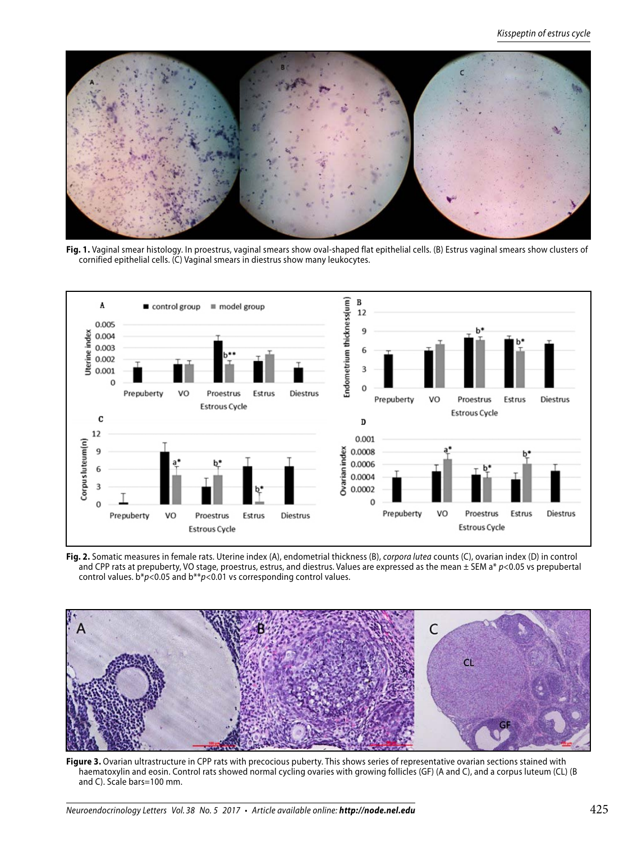

**Fig. 1.** Vaginal smear histology. In proestrus, vaginal smears show oval-shaped flat epithelial cells. (B) Estrus vaginal smears show clusters of cornified epithelial cells. (C) Vaginal smears in diestrus show many leukocytes.



**Fig. 2.** Somatic measures in female rats. Uterine index (A), endometrial thickness (B), corpora lutea counts (C), ovarian index (D) in control and CPP rats at prepuberty, VO stage, proestrus, estrus, and diestrus. Values are expressed as the mean  $\pm$  SEM a\*  $p$ <0.05 vs prepubertal control values.  $b * p < 0.05$  and  $b * p < 0.01$  vs corresponding control values.



Figure 3. Ovarian ultrastructure in CPP rats with precocious puberty. This shows series of representative ovarian sections stained with haematoxylin and eosin. Control rats showed normal cycling ovaries with growing follicles (GF) (A and C), and a corpus luteum (CL) (B and C). Scale bars=100 mm.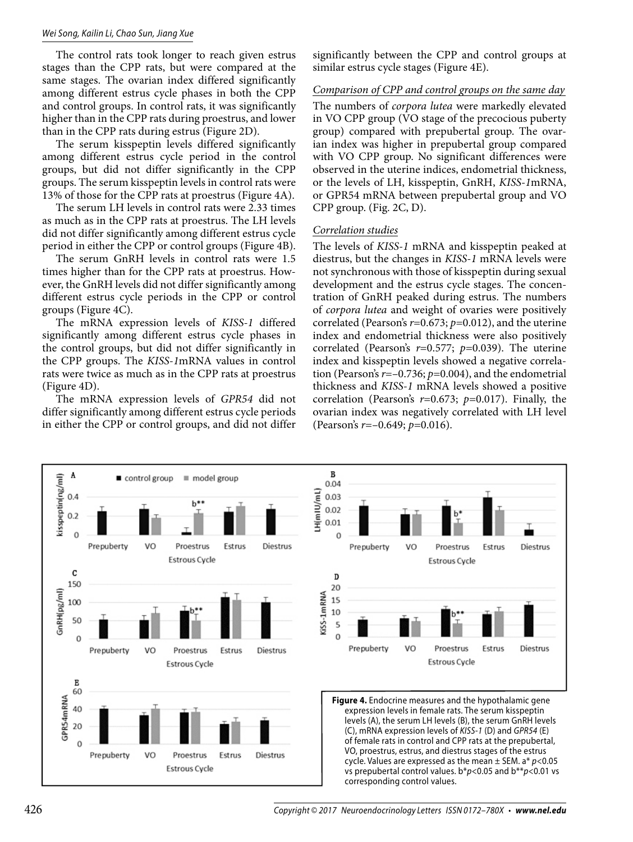#### Wei Song, Kailin Li, Chao Sun, Jiang Xue

The control rats took longer to reach given estrus stages than the CPP rats, but were compared at the same stages. The ovarian index differed significantly among different estrus cycle phases in both the CPP and control groups. In control rats, it was significantly higher than in the CPP rats during proestrus, and lower than in the CPP rats during estrus (Figure 2D).

The serum kisspeptin levels differed significantly among different estrus cycle period in the control groups, but did not differ significantly in the CPP groups. The serum kisspeptin levels in control rats were 13% of those for the CPP rats at proestrus (Figure 4A).

The serum LH levels in control rats were 2.33 times as much as in the CPP rats at proestrus. The LH levels did not differ significantly among different estrus cycle period in either the CPP or control groups (Figure 4B).

The serum GnRH levels in control rats were 1.5 times higher than for the CPP rats at proestrus. However, the GnRH levels did not differ significantly among different estrus cycle periods in the CPP or control groups (Figure 4C).

The mRNA expression levels of *KISS-1* differed significantly among different estrus cycle phases in the control groups, but did not differ significantly in the CPP groups. The *KISS-1*mRNA values in control rats were twice as much as in the CPP rats at proestrus (Figure 4D).

The mRNA expression levels of *GPR54* did not differ significantly among different estrus cycle periods in either the CPP or control groups, and did not differ significantly between the CPP and control groups at similar estrus cycle stages (Figure 4E).

## *Comparison of CPP and control groups on the same day*

The numbers of *corpora lutea* were markedly elevated in VO CPP group (VO stage of the precocious puberty group) compared with prepubertal group. The ovarian index was higher in prepubertal group compared with VO CPP group. No significant differences were observed in the uterine indices, endometrial thickness, or the levels of LH, kisspeptin, GnRH, *KISS-1*mRNA, or GPR54 mRNA between prepubertal group and VO CPP group. (Fig. 2C, D).

#### *Correlation studies*

The levels of *KISS-1* mRNA and kisspeptin peaked at diestrus, but the changes in *KISS-1* mRNA levels were not synchronous with those of kisspeptin during sexual development and the estrus cycle stages. The concentration of GnRH peaked during estrus. The numbers of *corpora lutea* and weight of ovaries were positively correlated (Pearson's *r*=0.673; *p=*0.012), and the uterine index and endometrial thickness were also positively correlated (Pearson's *r*=0.577; *p=*0.039). The uterine index and kisspeptin levels showed a negative correlation (Pearson's *r*=–0.736; *p=*0.004), and the endometrial thickness and *KISS-1* mRNA levels showed a positive correlation (Pearson's *r*=0.673; *p=*0.017). Finally, the ovarian index was negatively correlated with LH level (Pearson's *r*=–0.649; *p=*0.016).

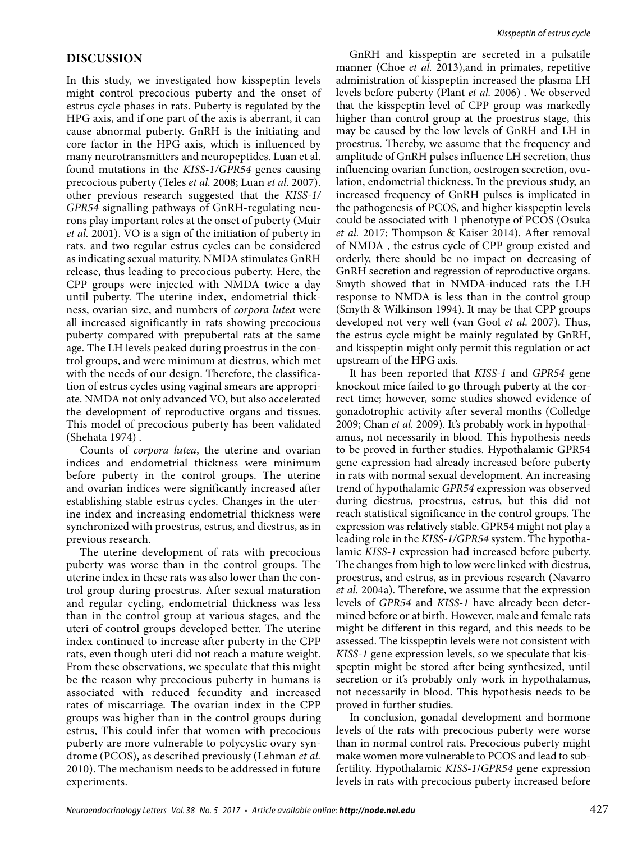## **DISCUSSION**

In this study, we investigated how kisspeptin levels might control precocious puberty and the onset of estrus cycle phases in rats. Puberty is regulated by the HPG axis, and if one part of the axis is aberrant, it can cause abnormal puberty. GnRH is the initiating and core factor in the HPG axis, which is influenced by many neurotransmitters and neuropeptides. Luan et al. found mutations in the *KISS-1/GPR54* genes causing precocious puberty (Teles *et al.* 2008; Luan *et al.* 2007). other previous research suggested that the *KISS-1/ GPR54* signalling pathways of GnRH-regulating neurons play important roles at the onset of puberty (Muir *et al.* 2001). VO is a sign of the initiation of puberty in rats. and two regular estrus cycles can be considered as indicating sexual maturity. NMDA stimulates GnRH release, thus leading to precocious puberty. Here, the CPP groups were injected with NMDA twice a day until puberty. The uterine index, endometrial thickness, ovarian size, and numbers of *corpora lutea* were all increased significantly in rats showing precocious puberty compared with prepubertal rats at the same age. The LH levels peaked during proestrus in the control groups, and were minimum at diestrus, which met with the needs of our design. Therefore, the classification of estrus cycles using vaginal smears are appropriate. NMDA not only advanced VO, but also accelerated the development of reproductive organs and tissues. This model of precocious puberty has been validated (Shehata 1974) .

Counts of *corpora lutea*, the uterine and ovarian indices and endometrial thickness were minimum before puberty in the control groups. The uterine and ovarian indices were significantly increased after establishing stable estrus cycles. Changes in the uterine index and increasing endometrial thickness were synchronized with proestrus, estrus, and diestrus, as in previous research.

The uterine development of rats with precocious puberty was worse than in the control groups. The uterine index in these rats was also lower than the control group during proestrus. After sexual maturation and regular cycling, endometrial thickness was less than in the control group at various stages, and the uteri of control groups developed better. The uterine index continued to increase after puberty in the CPP rats, even though uteri did not reach a mature weight. From these observations, we speculate that this might be the reason why precocious puberty in humans is associated with reduced fecundity and increased rates of miscarriage. The ovarian index in the CPP groups was higher than in the control groups during estrus, This could infer that women with precocious puberty are more vulnerable to polycystic ovary syndrome (PCOS), as described previously (Lehman *et al.* 2010). The mechanism needs to be addressed in future experiments.

GnRH and kisspeptin are secreted in a pulsatile manner (Choe *et al.* 2013),and in primates, repetitive administration of kisspeptin increased the plasma LH levels before puberty (Plant *et al.* 2006) . We observed that the kisspeptin level of CPP group was markedly higher than control group at the proestrus stage, this may be caused by the low levels of GnRH and LH in proestrus. Thereby, we assume that the frequency and amplitude of GnRH pulses influence LH secretion, thus influencing ovarian function, oestrogen secretion, ovulation, endometrial thickness. In the previous study, an increased frequency of GnRH pulses is implicated in the pathogenesis of PCOS, and higher kisspeptin levels could be associated with 1 phenotype of PCOS (Osuka *et al.* 2017; Thompson & Kaiser 2014). After removal of NMDA , the estrus cycle of CPP group existed and orderly, there should be no impact on decreasing of GnRH secretion and regression of reproductive organs. Smyth showed that in NMDA-induced rats the LH response to NMDA is less than in the control group (Smyth & Wilkinson 1994). It may be that CPP groups developed not very well (van Gool *et al.* 2007). Thus, the estrus cycle might be mainly regulated by GnRH, and kisspeptin might only permit this regulation or act upstream of the HPG axis.

It has been reported that *KISS-1* and *GPR54* gene knockout mice failed to go through puberty at the correct time; however, some studies showed evidence of gonadotrophic activity after several months (Colledge 2009; Chan *et al.* 2009). It's probably work in hypothalamus, not necessarily in blood. This hypothesis needs to be proved in further studies. Hypothalamic GPR54 gene expression had already increased before puberty in rats with normal sexual development. An increasing trend of hypothalamic *GPR54* expression was observed during diestrus, proestrus, estrus, but this did not reach statistical significance in the control groups. The expression was relatively stable. GPR54 might not play a leading role in the *KISS-1/GPR54* system. The hypothalamic *KISS-1* expression had increased before puberty. The changes from high to low were linked with diestrus, proestrus, and estrus, as in previous research (Navarro *et al.* 2004a). Therefore, we assume that the expression levels of *GPR54* and *KISS-1* have already been determined before or at birth. However, male and female rats might be different in this regard, and this needs to be assessed. The kisspeptin levels were not consistent with *KISS-1* gene expression levels, so we speculate that kisspeptin might be stored after being synthesized, until secretion or it's probably only work in hypothalamus, not necessarily in blood. This hypothesis needs to be proved in further studies.

In conclusion, gonadal development and hormone levels of the rats with precocious puberty were worse than in normal control rats. Precocious puberty might make women more vulnerable to PCOS and lead to subfertility. Hypothalamic *KISS-1*/*GPR54* gene expression levels in rats with precocious puberty increased before